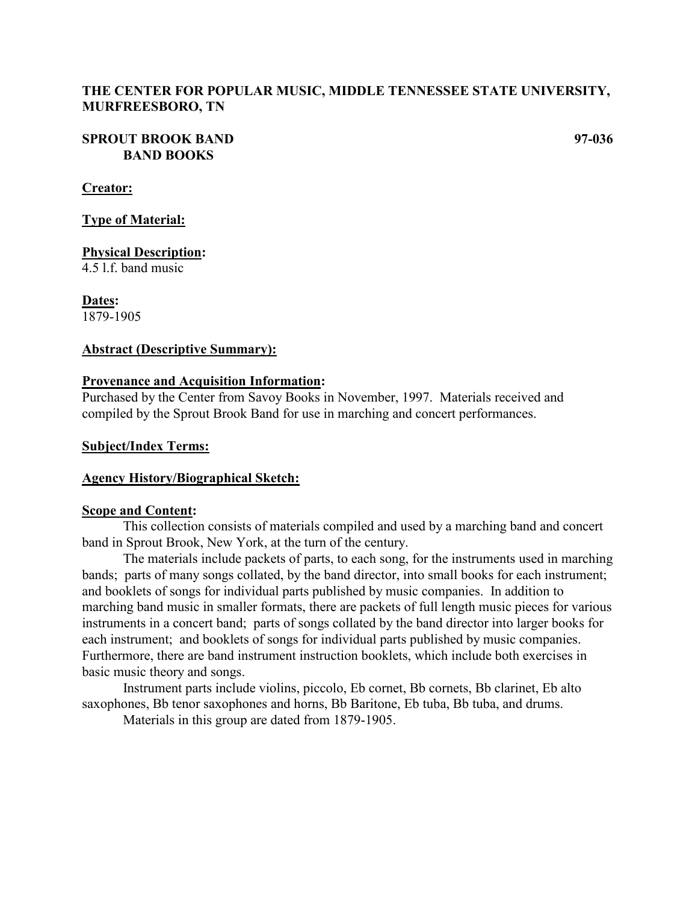### **THE CENTER FOR POPULAR MUSIC, MIDDLE TENNESSEE STATE UNIVERSITY, MURFREESBORO, TN**

### **SPROUT BROOK BAND 97-036 BAND BOOKS**

### **Creator:**

**Type of Material:**

**Physical Description:**

4.5 l.f. band music

**Dates:** 1879-1905

### **Abstract (Descriptive Summary):**

### **Provenance and Acquisition Information:**

Purchased by the Center from Savoy Books in November, 1997. Materials received and compiled by the Sprout Brook Band for use in marching and concert performances.

### **Subject/Index Terms:**

### **Agency History/Biographical Sketch:**

### **Scope and Content:**

This collection consists of materials compiled and used by a marching band and concert band in Sprout Brook, New York, at the turn of the century.

The materials include packets of parts, to each song, for the instruments used in marching bands; parts of many songs collated, by the band director, into small books for each instrument; and booklets of songs for individual parts published by music companies. In addition to marching band music in smaller formats, there are packets of full length music pieces for various instruments in a concert band; parts of songs collated by the band director into larger books for each instrument; and booklets of songs for individual parts published by music companies. Furthermore, there are band instrument instruction booklets, which include both exercises in basic music theory and songs.

Instrument parts include violins, piccolo, Eb cornet, Bb cornets, Bb clarinet, Eb alto saxophones, Bb tenor saxophones and horns, Bb Baritone, Eb tuba, Bb tuba, and drums.

Materials in this group are dated from 1879-1905.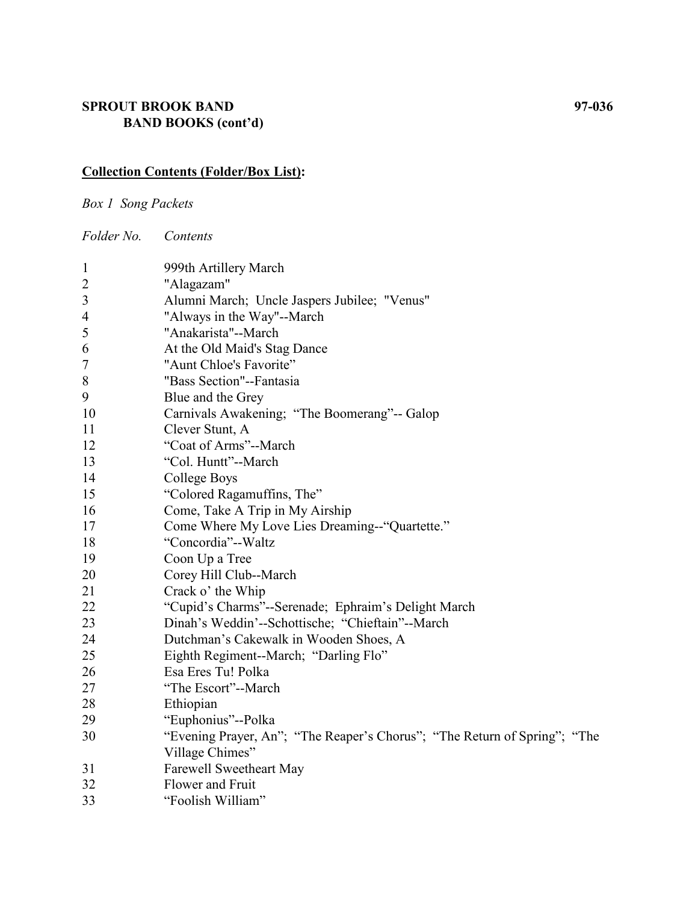## **SPROUT BROOK BAND 97-036 BAND BOOKS (cont'd)**

# **Collection Contents (Folder/Box List):**

*Box 1 Song Packets*

*Folder No. Contents*

| $\mathbf{1}$   | 999th Artillery March                                                     |
|----------------|---------------------------------------------------------------------------|
| $\overline{c}$ | "Alagazam"                                                                |
| $\mathfrak{Z}$ | Alumni March; Uncle Jaspers Jubilee; "Venus"                              |
| $\overline{4}$ | "Always in the Way"--March                                                |
| 5              | "Anakarista"--March                                                       |
| 6              | At the Old Maid's Stag Dance                                              |
| 7              | "Aunt Chloe's Favorite"                                                   |
| 8              | "Bass Section"--Fantasia                                                  |
| 9              | Blue and the Grey                                                         |
| 10             | Carnivals Awakening; "The Boomerang"-- Galop                              |
| 11             | Clever Stunt, A                                                           |
| 12             | "Coat of Arms"--March                                                     |
| 13             | "Col. Huntt"--March                                                       |
| 14             | College Boys                                                              |
| 15             | "Colored Ragamuffins, The"                                                |
| 16             | Come, Take A Trip in My Airship                                           |
| 17             | Come Where My Love Lies Dreaming--"Quartette."                            |
| 18             | "Concordia"--Waltz                                                        |
| 19             | Coon Up a Tree                                                            |
| 20             | Corey Hill Club--March                                                    |
| 21             | Crack o' the Whip                                                         |
| 22             | "Cupid's Charms"--Serenade; Ephraim's Delight March                       |
| 23             | Dinah's Weddin'--Schottische; "Chieftain"--March                          |
| 24             | Dutchman's Cakewalk in Wooden Shoes, A                                    |
| 25             | Eighth Regiment--March; "Darling Flo"                                     |
| 26             | Esa Eres Tu! Polka                                                        |
| 27             | "The Escort"--March                                                       |
| 28             | Ethiopian                                                                 |
| 29             | "Euphonius"--Polka                                                        |
| 30             | "Evening Prayer, An"; "The Reaper's Chorus"; "The Return of Spring"; "The |
|                | Village Chimes"                                                           |
| 31             | Farewell Sweetheart May                                                   |
| 32             | Flower and Fruit                                                          |
| 33             | "Foolish William"                                                         |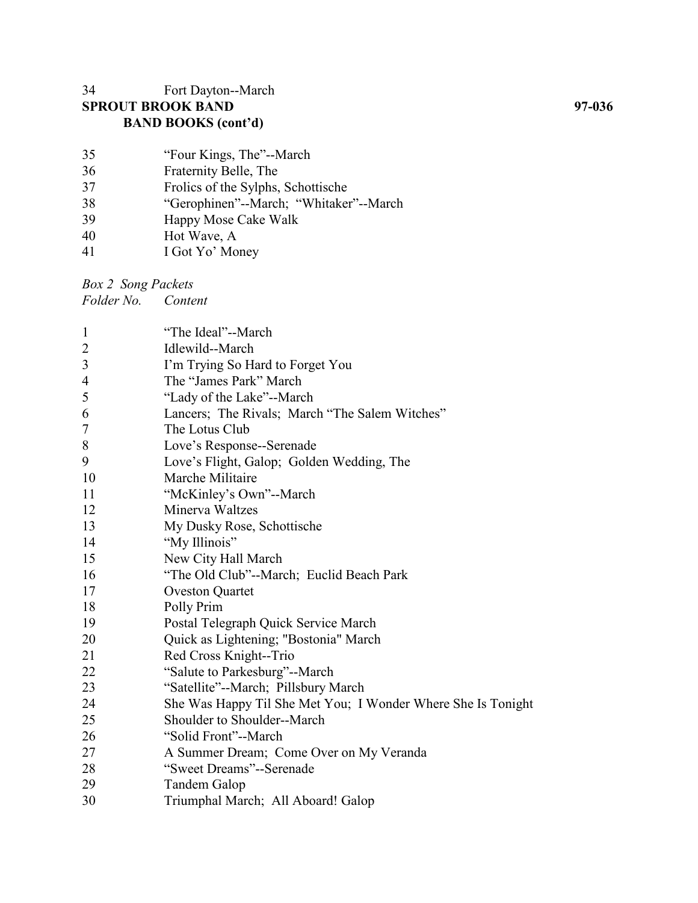## Fort Dayton--March **SPROUT BROOK BAND 97-036 BAND BOOKS (cont'd)**

| 35 | "Four Kings, The"--March               |
|----|----------------------------------------|
| 36 | Fraternity Belle, The                  |
| 37 | Frolics of the Sylphs, Schottische     |
| 38 | "Gerophinen"--March; "Whitaker"--March |
| 39 | Happy Mose Cake Walk                   |
| 40 | Hot Wave, A                            |
| 41 | I Got Yo' Money                        |

*Box 2 Song Packets*

*Folder No. Content*

| $\mathbf{1}$   | "The Ideal"--March                                           |
|----------------|--------------------------------------------------------------|
| $\overline{2}$ | Idlewild--March                                              |
| 3              | I'm Trying So Hard to Forget You                             |
| $\overline{4}$ | The "James Park" March                                       |
| 5              | "Lady of the Lake"--March                                    |
| 6              | Lancers; The Rivals; March "The Salem Witches"               |
| 7              | The Lotus Club                                               |
| $8\,$          | Love's Response--Serenade                                    |
| 9              | Love's Flight, Galop; Golden Wedding, The                    |
| 10             | Marche Militaire                                             |
| 11             | "McKinley's Own"--March                                      |
| 12             | Minerva Waltzes                                              |
| 13             | My Dusky Rose, Schottische                                   |
| 14             | "My Illinois"                                                |
| 15             | New City Hall March                                          |
| 16             | "The Old Club"--March; Euclid Beach Park                     |
| 17             | <b>Oveston Quartet</b>                                       |
| 18             | Polly Prim                                                   |
| 19             | Postal Telegraph Quick Service March                         |
| 20             | Quick as Lightening; "Bostonia" March                        |
| 21             | Red Cross Knight--Trio                                       |
| 22             | "Salute to Parkesburg"--March                                |
| 23             | "Satellite"--March; Pillsbury March                          |
| 24             | She Was Happy Til She Met You; I Wonder Where She Is Tonight |
| 25             | Shoulder to Shoulder--March                                  |
| 26             | "Solid Front"--March                                         |
| 27             | A Summer Dream; Come Over on My Veranda                      |
| 28             | "Sweet Dreams"--Serenade                                     |
| 29             | Tandem Galop                                                 |
| 30             | Triumphal March; All Aboard! Galop                           |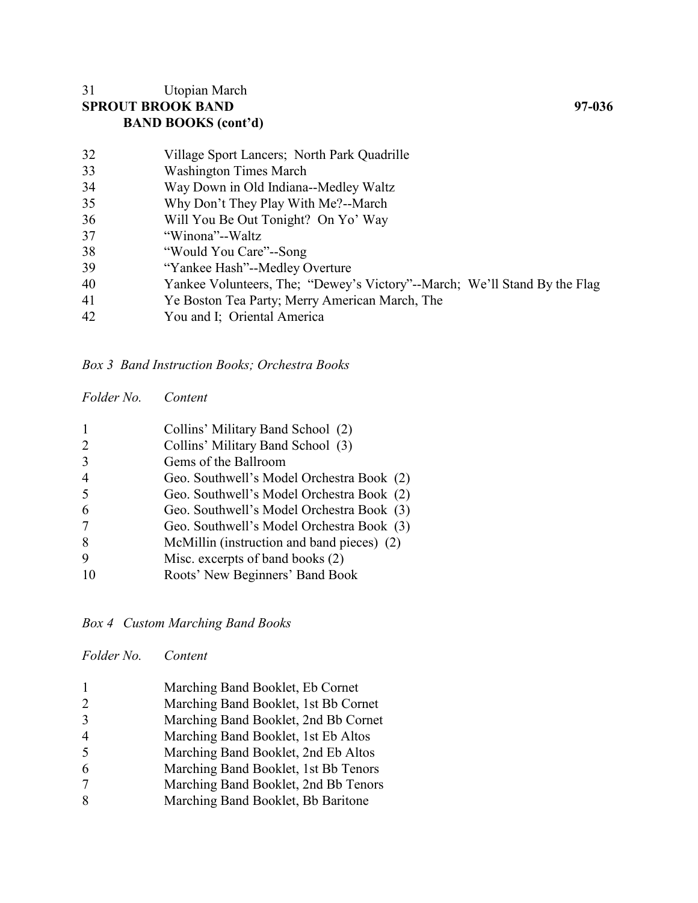## Utopian March **SPROUT BROOK BAND 97-036 BAND BOOKS (cont'd)**

| 32 | Village Sport Lancers; North Park Quadrille                               |
|----|---------------------------------------------------------------------------|
| 33 | <b>Washington Times March</b>                                             |
| 34 | Way Down in Old Indiana--Medley Waltz                                     |
| 35 | Why Don't They Play With Me?--March                                       |
| 36 | Will You Be Out Tonight? On Yo' Way                                       |
| 37 | "Winona"--Waltz                                                           |
| 38 | "Would You Care"--Song                                                    |
| 39 | "Yankee Hash"--Medley Overture                                            |
| 40 | Yankee Volunteers, The; "Dewey's Victory"--March; We'll Stand By the Flag |
| 41 | Ye Boston Tea Party; Merry American March, The                            |
| 42 | You and I; Oriental America                                               |

*Box 3 Band Instruction Books; Orchestra Books*

| Folder No. | Content |
|------------|---------|
|            |         |

|                             | Collins' Military Band School (2)          |
|-----------------------------|--------------------------------------------|
| $\mathcal{D}_{\mathcal{L}}$ | Collins' Military Band School (3)          |
| $\mathcal{R}$               | Gems of the Ballroom                       |
| $\overline{4}$              | Geo. Southwell's Model Orchestra Book (2)  |
| 5                           | Geo. Southwell's Model Orchestra Book (2)  |
| 6                           | Geo. Southwell's Model Orchestra Book (3)  |
| 7                           | Geo. Southwell's Model Orchestra Book (3)  |
| 8                           | McMillin (instruction and band pieces) (2) |
| 9                           | Misc. excerpts of band books (2)           |
|                             | Roots' New Beginners' Band Book            |

*Box 4 Custom Marching Band Books*

| Folder No. Content |                                      |
|--------------------|--------------------------------------|
|                    | Marching Band Booklet, Eb Cornet     |
| 2                  | Marching Band Booklet, 1st Bb Cornet |
| $\overline{3}$     | Marching Band Booklet, 2nd Bb Cornet |
| 4                  | Marching Band Booklet, 1st Eb Altos  |
| 5                  | Marching Band Booklet, 2nd Eb Altos  |
| 6                  | Marching Band Booklet, 1st Bb Tenors |
| -                  |                                      |

- Marching Band Booklet, 2nd Bb Tenors
- 8 Marching Band Booklet, Bb Baritone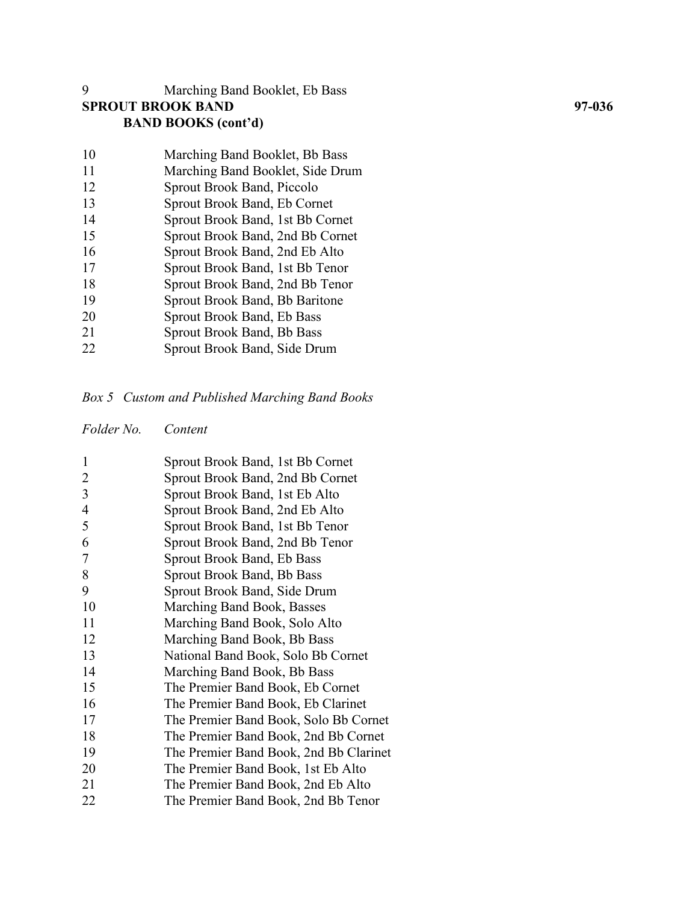# Marching Band Booklet, Eb Bass **SPROUT BROOK BAND BAND BOOKS (cont'd)**

| 10 | Marching Band Booklet, Bb Bass    |
|----|-----------------------------------|
| 11 | Marching Band Booklet, Side Drum  |
| 12 | <b>Sprout Brook Band, Piccolo</b> |
| 13 | Sprout Brook Band, Eb Cornet      |
| 14 | Sprout Brook Band, 1st Bb Cornet  |
| 15 | Sprout Brook Band, 2nd Bb Cornet  |
| 16 | Sprout Brook Band, 2nd Eb Alto    |
| 17 | Sprout Brook Band, 1st Bb Tenor   |
| 18 | Sprout Brook Band, 2nd Bb Tenor   |
| 19 | Sprout Brook Band, Bb Baritone    |
| 20 | Sprout Brook Band, Eb Bass        |
| 21 | <b>Sprout Brook Band, Bb Bass</b> |
| 22 | Sprout Brook Band, Side Drum      |
|    |                                   |

# *Box 5 Custom and Published Marching Band Books*

*Folder No. Content*

| 1              | Sprout Brook Band, 1st Bb Cornet       |
|----------------|----------------------------------------|
| 2              | Sprout Brook Band, 2nd Bb Cornet       |
| 3              | Sprout Brook Band, 1st Eb Alto         |
| $\overline{4}$ | Sprout Brook Band, 2nd Eb Alto         |
| 5              | Sprout Brook Band, 1st Bb Tenor        |
| 6              | Sprout Brook Band, 2nd Bb Tenor        |
| 7              | Sprout Brook Band, Eb Bass             |
| 8              | Sprout Brook Band, Bb Bass             |
| 9              | Sprout Brook Band, Side Drum           |
| 10             | Marching Band Book, Basses             |
| 11             | Marching Band Book, Solo Alto          |
| 12             | Marching Band Book, Bb Bass            |
| 13             | National Band Book, Solo Bb Cornet     |
| 14             | Marching Band Book, Bb Bass            |
| 15             | The Premier Band Book, Eb Cornet       |
| 16             | The Premier Band Book, Eb Clarinet     |
| 17             | The Premier Band Book, Solo Bb Cornet  |
| 18             | The Premier Band Book, 2nd Bb Cornet   |
| 19             | The Premier Band Book, 2nd Bb Clarinet |
| 20             | The Premier Band Book, 1st Eb Alto     |
| 21             | The Premier Band Book, 2nd Eb Alto     |
| 22             | The Premier Band Book, 2nd Bb Tenor    |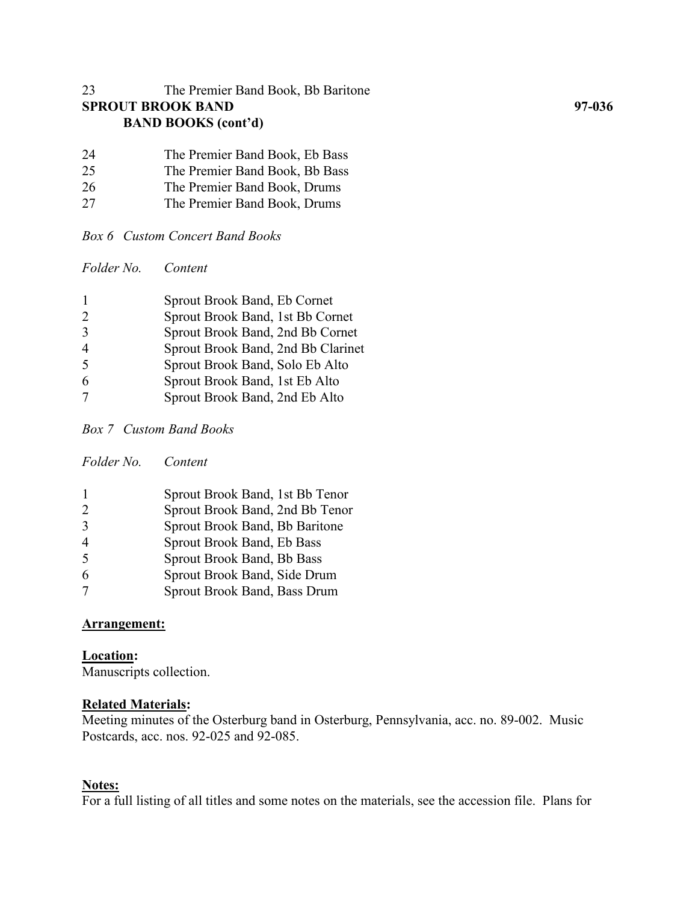## 23 The Premier Band Book, Bb Baritone **SPROUT BROOK BAND 97-036 BAND BOOKS (cont'd)**

| 24 | The Premier Band Book, Eb Bass |
|----|--------------------------------|
| 25 | The Premier Band Book, Bb Bass |
| 26 | The Premier Band Book, Drums   |
| 27 | The Premier Band Book, Drums   |

*Box 6 Custom Concert Band Books*

*Folder No. Content*

|               | Sprout Brook Band, Eb Cornet       |
|---------------|------------------------------------|
| $\mathcal{D}$ | Sprout Brook Band, 1st Bb Cornet   |
|               | Sprout Brook Band, 2nd Bb Cornet   |
|               | Sprout Brook Band, 2nd Bb Clarinet |
| $\zeta$       | Sprout Brook Band, Solo Eb Alto    |
| 6             | Sprout Brook Band, 1st Eb Alto     |
|               | Sprout Brook Band, 2nd Eb Alto     |
|               |                                    |

*Box 7 Custom Band Books*

*Folder No. Content*

| -1                       | Sprout Brook Band, 1st Bb Tenor |
|--------------------------|---------------------------------|
| $\mathcal{D}$            | Sprout Brook Band, 2nd Bb Tenor |
| $\mathcal{R}$            | Sprout Brook Band, Bb Baritone  |
| $\overline{4}$           | Sprout Brook Band, Eb Bass      |
| $\overline{\mathcal{L}}$ | Sprout Brook Band, Bb Bass      |
| 6                        | Sprout Brook Band, Side Drum    |
|                          | Sprout Brook Band, Bass Drum    |

## **Arrangement:**

**Location:** Manuscripts collection.

### **Related Materials:**

Meeting minutes of the Osterburg band in Osterburg, Pennsylvania, acc. no. 89-002. Music Postcards, acc. nos. 92-025 and 92-085.

### **Notes:**

For a full listing of all titles and some notes on the materials, see the accession file. Plans for